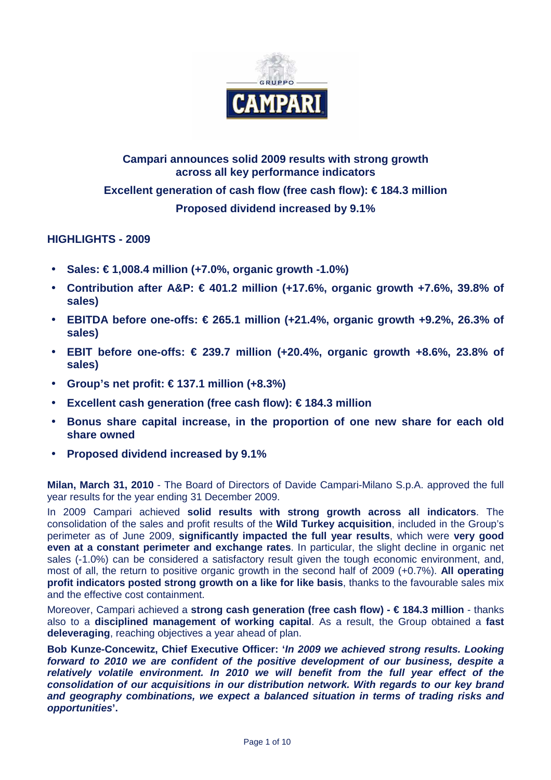

# **Campari announces solid 2009 results with strong growth across all key performance indicators Excellent generation of cash flow (free cash flow): € 184.3 million Proposed dividend increased by 9.1%**

## **HIGHLIGHTS - 2009**

- **Sales: € 1,008.4 million (+7.0%, organic growth -1.0%)**
- **Contribution after A&P: € 401.2 million (+17.6%, organic growth +7.6%, 39.8% of sales)**
- **EBITDA before one-offs: € 265.1 million (+21.4%, organic growth +9.2%, 26.3% of sales)**
- **EBIT before one-offs: € 239.7 million (+20.4%, organic growth +8.6%, 23.8% of sales)**
- **Group's net profit: € 137.1 million (+8.3%)**
- **Excellent cash generation (free cash flow): € 184.3 million**
- **Bonus share capital increase, in the proportion of one new share for each old share owned**
- **Proposed dividend increased by 9.1%**

**Milan, March 31, 2010** - The Board of Directors of Davide Campari-Milano S.p.A. approved the full year results for the year ending 31 December 2009.

In 2009 Campari achieved **solid results with strong growth across all indicators**. The consolidation of the sales and profit results of the **Wild Turkey acquisition**, included in the Group's perimeter as of June 2009, **significantly impacted the full year results**, which were **very good even at a constant perimeter and exchange rates**. In particular, the slight decline in organic net sales (-1.0%) can be considered a satisfactory result given the tough economic environment, and, most of all, the return to positive organic growth in the second half of 2009 (+0.7%). **All operating profit indicators posted strong growth on a like for like basis**, thanks to the favourable sales mix and the effective cost containment.

Moreover, Campari achieved a **strong cash generation (free cash flow) - € 184.3 million** - thanks also to a **disciplined management of working capital**. As a result, the Group obtained a **fast deleveraging**, reaching objectives a year ahead of plan.

**Bob Kunze-Concewitz, Chief Executive Officer: 'In 2009 we achieved strong results. Looking forward to 2010 we are confident of the positive development of our business, despite a relatively volatile environment. In 2010 we will benefit from the full year effect of the consolidation of our acquisitions in our distribution network. With regards to our key brand and geography combinations, we expect a balanced situation in terms of trading risks and opportunities'.**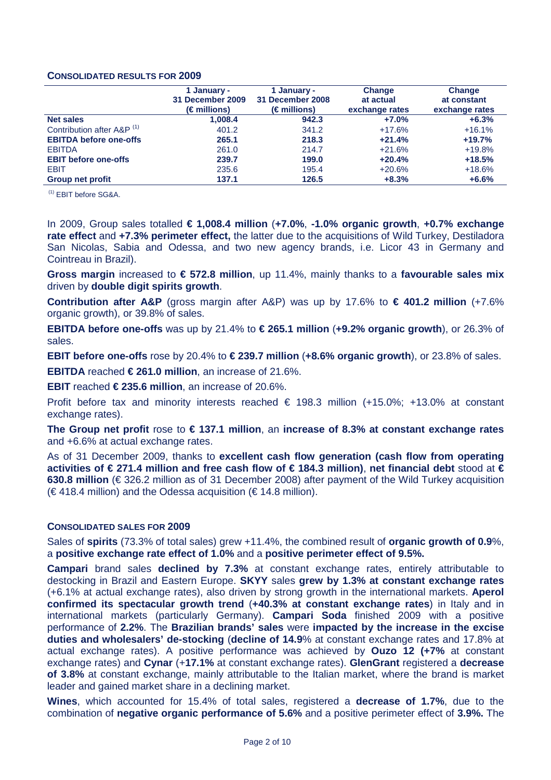### **CONSOLIDATED RESULTS FOR 2009**

|                                       | 1 January -<br>31 December 2009<br>$(\epsilon$ millions) | 1 January -<br>31 December 2008<br>(€ millions) | Change<br>at actual<br>exchange rates | <b>Change</b><br>at constant<br>exchange rates |
|---------------------------------------|----------------------------------------------------------|-------------------------------------------------|---------------------------------------|------------------------------------------------|
| <b>Net sales</b>                      | 1,008.4                                                  | 942.3                                           | $+7.0%$                               | $+6.3%$                                        |
| Contribution after A&P <sup>(1)</sup> | 401.2                                                    | 341.2                                           | $+17.6%$                              | $+16.1%$                                       |
| <b>EBITDA before one-offs</b>         | 265.1                                                    | 218.3                                           | $+21.4%$                              | $+19.7%$                                       |
| <b>EBITDA</b>                         | 261.0                                                    | 214.7                                           | $+21.6%$                              | $+19.8%$                                       |
| <b>EBIT before one-offs</b>           | 239.7                                                    | 199.0                                           | $+20.4%$                              | $+18.5%$                                       |
| <b>EBIT</b>                           | 235.6                                                    | 195.4                                           | $+20.6%$                              | $+18.6%$                                       |
| <b>Group net profit</b>               | 137.1                                                    | 126.5                                           | $+8.3%$                               | $+6.6%$                                        |

(1) EBIT before SG&A.

In 2009, Group sales totalled **€ 1,008.4 million** (**+7.0%**, **-1.0% organic growth**, **+0.7% exchange rate effect** and **+7.3% perimeter effect,** the latter due to the acquisitions of Wild Turkey, Destiladora San Nicolas, Sabia and Odessa, and two new agency brands, i.e. Licor 43 in Germany and Cointreau in Brazil).

**Gross margin** increased to **€ 572.8 million**, up 11.4%, mainly thanks to a **favourable sales mix** driven by **double digit spirits growth**.

**Contribution after A&P** (gross margin after A&P) was up by 17.6% to **€ 401.2 million** (+7.6% organic growth), or 39.8% of sales.

**EBITDA before one-offs** was up by 21.4% to **€ 265.1 million** (**+9.2% organic growth**), or 26.3% of sales.

**EBIT before one-offs** rose by 20.4% to  $\in$  239.7 million  $(+8.6\%$  organic growth), or 23.8% of sales.

**EBITDA** reached **€ 261.0 million**, an increase of 21.6%.

**EBIT** reached **€ 235.6 million**, an increase of 20.6%.

Profit before tax and minority interests reached € 198.3 million (+15.0%; +13.0% at constant exchange rates).

**The Group net profit** rose to **€ 137.1 million**, an **increase of 8.3% at constant exchange rates** and +6.6% at actual exchange rates.

As of 31 December 2009, thanks to **excellent cash flow generation (cash flow from operating activities of € 271.4 million and free cash flow of € 184.3 million)**, **net financial debt** stood at **€ 630.8 million** (€ 326.2 million as of 31 December 2008) after payment of the Wild Turkey acquisition  $(\in$  418.4 million) and the Odessa acquisition ( $\xi$  148 million).

### **CONSOLIDATED SALES FOR 2009**

Sales of **spirits** (73.3% of total sales) grew +11.4%, the combined result of **organic growth of 0.9**%, a **positive exchange rate effect of 1.0%** and a **positive perimeter effect of 9.5%.**

**Campari** brand sales **declined by 7.3%** at constant exchange rates, entirely attributable to destocking in Brazil and Eastern Europe. **SKYY** sales **grew by 1.3% at constant exchange rates** (+6.1% at actual exchange rates), also driven by strong growth in the international markets. **Aperol confirmed its spectacular growth trend** (**+40.3% at constant exchange rates**) in Italy and in international markets (particularly Germany). **Campari Soda** finished 2009 with a positive performance of **2.2%**. The **Brazilian brands' sales** were **impacted by the increase in the excise duties and wholesalers' de-stocking** (**decline of 14.9**% at constant exchange rates and 17.8% at actual exchange rates). A positive performance was achieved by **Ouzo 12 (+7%** at constant exchange rates) and **Cynar** (+**17.1%** at constant exchange rates). **GlenGrant** registered a **decrease of 3.8%** at constant exchange, mainly attributable to the Italian market, where the brand is market leader and gained market share in a declining market.

**Wines**, which accounted for 15.4% of total sales, registered a **decrease of 1.7%**, due to the combination of **negative organic performance of 5.6%** and a positive perimeter effect of **3.9%.** The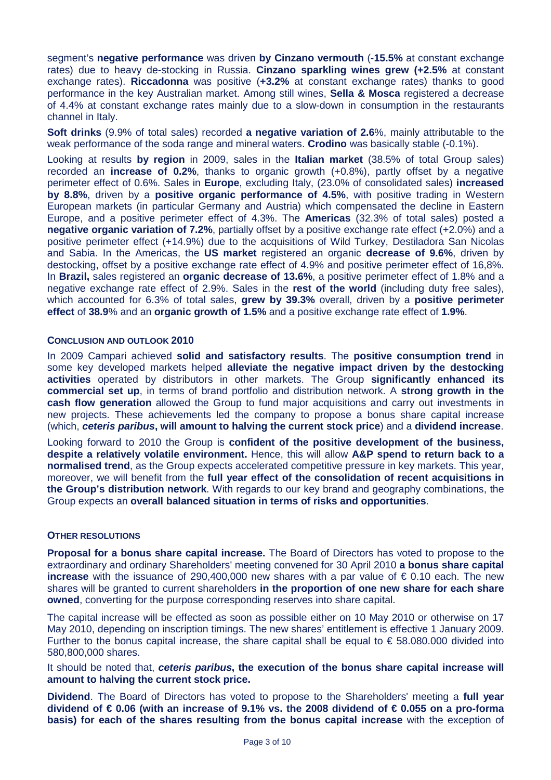segment's **negative performance** was driven **by Cinzano vermouth** (-**15.5%** at constant exchange rates) due to heavy de-stocking in Russia. **Cinzano sparkling wines grew (+2.5%** at constant exchange rates). **Riccadonna** was positive (**+3.2%** at constant exchange rates) thanks to good performance in the key Australian market. Among still wines, **Sella & Mosca** registered a decrease of 4.4% at constant exchange rates mainly due to a slow-down in consumption in the restaurants channel in Italy.

**Soft drinks** (9.9% of total sales) recorded **a negative variation of 2.6**%, mainly attributable to the weak performance of the soda range and mineral waters. **Crodino** was basically stable (-0.1%).

Looking at results **by region** in 2009, sales in the **Italian market** (38.5% of total Group sales) recorded an **increase of 0.2%**, thanks to organic growth (+0.8%), partly offset by a negative perimeter effect of 0.6%. Sales in **Europe**, excluding Italy, (23.0% of consolidated sales) **increased by 8.8%**, driven by a **positive organic performance of 4.5%**, with positive trading in Western European markets (in particular Germany and Austria) which compensated the decline in Eastern Europe, and a positive perimeter effect of 4.3%. The **Americas** (32.3% of total sales) posted a **negative organic variation of 7.2%**, partially offset by a positive exchange rate effect (+2.0%) and a positive perimeter effect (+14.9%) due to the acquisitions of Wild Turkey, Destiladora San Nicolas and Sabia. In the Americas, the **US market** registered an organic **decrease of 9.6%**, driven by destocking, offset by a positive exchange rate effect of 4.9% and positive perimeter effect of 16,8%. In **Brazil,** sales registered an **organic decrease of 13.6%**, a positive perimeter effect of 1.8% and a negative exchange rate effect of 2.9%. Sales in the **rest of the world** (including duty free sales), which accounted for 6.3% of total sales, **grew by 39.3%** overall, driven by a **positive perimeter effect** of **38.9**% and an **organic growth of 1.5%** and a positive exchange rate effect of **1.9%**.

### **CONCLUSION AND OUTLOOK 2010**

In 2009 Campari achieved **solid and satisfactory results**. The **positive consumption trend** in some key developed markets helped **alleviate the negative impact driven by the destocking activities** operated by distributors in other markets. The Group **significantly enhanced its commercial set up**, in terms of brand portfolio and distribution network. A **strong growth in the cash flow generation** allowed the Group to fund major acquisitions and carry out investments in new projects. These achievements led the company to propose a bonus share capital increase (which, **ceteris paribus, will amount to halving the current stock price**) and a **dividend increase**.

Looking forward to 2010 the Group is **confident of the positive development of the business, despite a relatively volatile environment.** Hence, this will allow **A&P spend to return back to a normalised trend**, as the Group expects accelerated competitive pressure in key markets. This year, moreover, we will benefit from the **full year effect of the consolidation of recent acquisitions in the Group's distribution network**. With regards to our key brand and geography combinations, the Group expects an **overall balanced situation in terms of risks and opportunities**.

### **OTHER RESOLUTIONS**

**Proposal for a bonus share capital increase.** The Board of Directors has voted to propose to the extraordinary and ordinary Shareholders' meeting convened for 30 April 2010 **a bonus share capital increase** with the issuance of 290,400,000 new shares with a par value of € 0.10 each. The new shares will be granted to current shareholders **in the proportion of one new share for each share owned**, converting for the purpose corresponding reserves into share capital.

The capital increase will be effected as soon as possible either on 10 May 2010 or otherwise on 17 May 2010, depending on inscription timings. The new shares' entitlement is effective 1 January 2009. Further to the bonus capital increase, the share capital shall be equal to  $\epsilon$  58.080.000 divided into 580,800,000 shares.

It should be noted that, **ceteris paribus, the execution of the bonus share capital increase will amount to halving the current stock price.** 

**Dividend**. The Board of Directors has voted to propose to the Shareholders' meeting a **full year dividend of € 0.06 (with an increase of 9.1% vs. the 2008 dividend of € 0.055 on a pro-forma basis) for each of the shares resulting from the bonus capital increase** with the exception of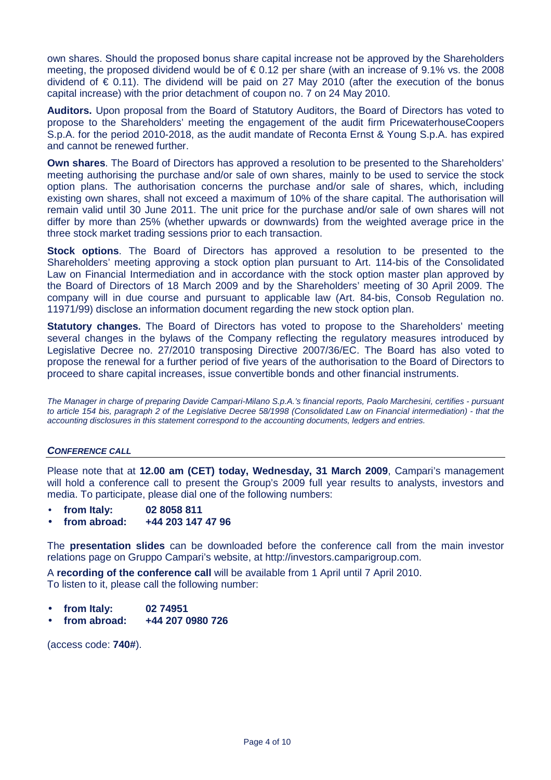own shares. Should the proposed bonus share capital increase not be approved by the Shareholders meeting, the proposed dividend would be of  $\epsilon$  0.12 per share (with an increase of 9.1% vs. the 2008 dividend of  $\epsilon$  0.11). The dividend will be paid on 27 May 2010 (after the execution of the bonus capital increase) with the prior detachment of coupon no. 7 on 24 May 2010.

**Auditors.** Upon proposal from the Board of Statutory Auditors, the Board of Directors has voted to propose to the Shareholders' meeting the engagement of the audit firm PricewaterhouseCoopers S.p.A. for the period 2010-2018, as the audit mandate of Reconta Ernst & Young S.p.A. has expired and cannot be renewed further.

**Own shares**. The Board of Directors has approved a resolution to be presented to the Shareholders' meeting authorising the purchase and/or sale of own shares, mainly to be used to service the stock option plans. The authorisation concerns the purchase and/or sale of shares, which, including existing own shares, shall not exceed a maximum of 10% of the share capital. The authorisation will remain valid until 30 June 2011. The unit price for the purchase and/or sale of own shares will not differ by more than 25% (whether upwards or downwards) from the weighted average price in the three stock market trading sessions prior to each transaction.

**Stock options**. The Board of Directors has approved a resolution to be presented to the Shareholders' meeting approving a stock option plan pursuant to Art. 114-bis of the Consolidated Law on Financial Intermediation and in accordance with the stock option master plan approved by the Board of Directors of 18 March 2009 and by the Shareholders' meeting of 30 April 2009. The company will in due course and pursuant to applicable law (Art. 84-bis, Consob Regulation no. 11971/99) disclose an information document regarding the new stock option plan.

**Statutory changes.** The Board of Directors has voted to propose to the Shareholders' meeting several changes in the bylaws of the Company reflecting the regulatory measures introduced by Legislative Decree no. 27/2010 transposing Directive 2007/36/EC. The Board has also voted to propose the renewal for a further period of five years of the authorisation to the Board of Directors to proceed to share capital increases, issue convertible bonds and other financial instruments.

The Manager in charge of preparing Davide Campari-Milano S.p.A.'s financial reports, Paolo Marchesini, certifies - pursuant to article 154 bis, paragraph 2 of the Legislative Decree 58/1998 (Consolidated Law on Financial intermediation) - that the accounting disclosures in this statement correspond to the accounting documents, ledgers and entries.

### **CONFERENCE CALL**

Please note that at **12.00 am (CET) today, Wednesday, 31 March 2009**, Campari's management will hold a conference call to present the Group's 2009 full year results to analysts, investors and media. To participate, please dial one of the following numbers:

- **from Italy: 02 8058 811**
- **from abroad: +44 203 147 47 96**

The **presentation slides** can be downloaded before the conference call from the main investor relations page on Gruppo Campari's website, at http://investors.camparigroup.com.

A **recording of the conference call** will be available from 1 April until 7 April 2010. To listen to it, please call the following number:

- **from Italy: 02 74951**
- **from abroad: +44 207 0980 726**

(access code: **740#**).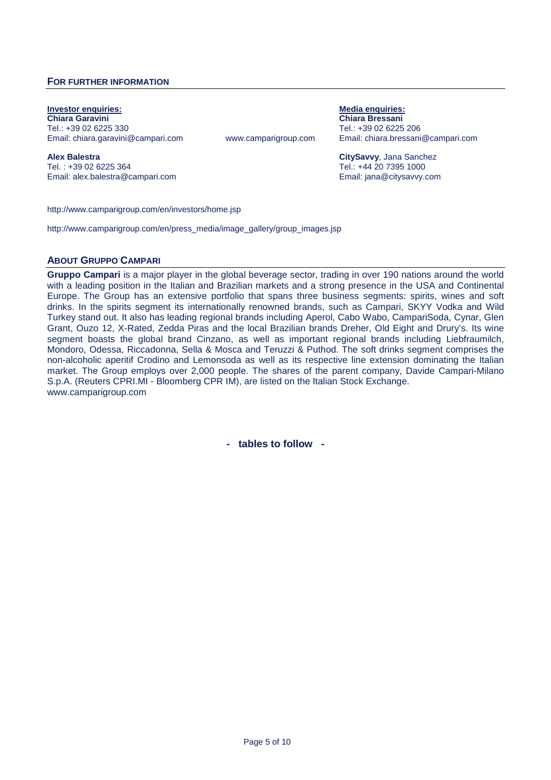### **FOR FURTHER INFORMATION**

**Investor enquiries: Media enquiries: Chiara Garavini Chiara Bressani** Tel.: +39 02 6225 330 Tel.: +39 02 6225 206

www.camparigroup.com Email: chiara.bressani@campari.com

**Alex Balestra CitySavvy**, Jana Sanchez Tel.: +44 20 7395 1000 Email: alex.balestra@campari.com Email: jana@citysavvy.com

http://www.camparigroup.com/en/investors/home.jsp

http://www.camparigroup.com/en/press\_media/image\_gallery/group\_images.jsp

#### **ABOUT GRUPPO CAMPARI**

**Gruppo Campari** is a major player in the global beverage sector, trading in over 190 nations around the world with a leading position in the Italian and Brazilian markets and a strong presence in the USA and Continental Europe. The Group has an extensive portfolio that spans three business segments: spirits, wines and soft drinks. In the spirits segment its internationally renowned brands, such as Campari, SKYY Vodka and Wild Turkey stand out. It also has leading regional brands including Aperol, Cabo Wabo, CampariSoda, Cynar, Glen Grant, Ouzo 12, X-Rated, Zedda Piras and the local Brazilian brands Dreher, Old Eight and Drury's. Its wine segment boasts the global brand Cinzano, as well as important regional brands including Liebfraumilch, Mondoro, Odessa, Riccadonna, Sella & Mosca and Teruzzi & Puthod. The soft drinks segment comprises the non-alcoholic aperitif Crodino and Lemonsoda as well as its respective line extension dominating the Italian market. The Group employs over 2,000 people. The shares of the parent company, Davide Campari-Milano S.p.A. (Reuters CPRI.MI - Bloomberg CPR IM), are listed on the Italian Stock Exchange. www.camparigroup.com

**- tables to follow -**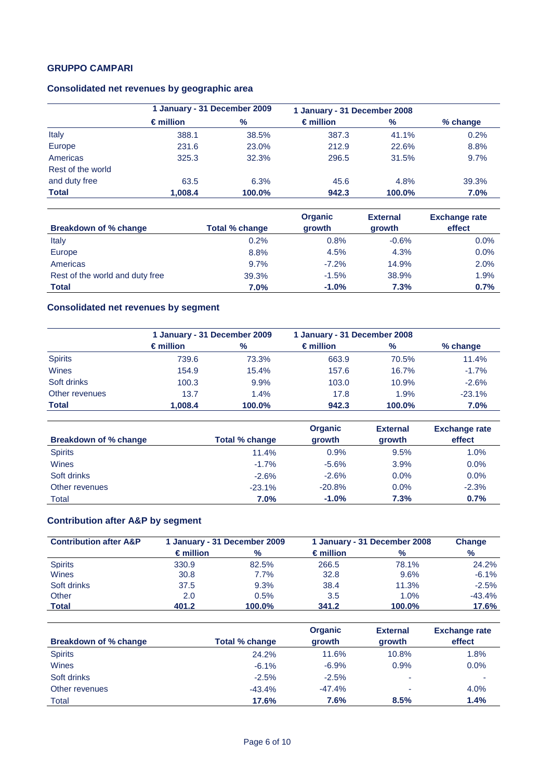## **GRUPPO CAMPARI**

## **Consolidated net revenues by geographic area**

|                   |                    | 1 January - 31 December 2009 |                    | 1 January - 31 December 2008 |            |
|-------------------|--------------------|------------------------------|--------------------|------------------------------|------------|
|                   | $\epsilon$ million | $\%$                         | $\epsilon$ million | $\%$                         | $%$ change |
| Italy             | 388.1              | 38.5%                        | 387.3              | 41.1%                        | 0.2%       |
| Europe            | 231.6              | 23.0%                        | 212.9              | 22.6%                        | 8.8%       |
| Americas          | 325.3              | 32.3%                        | 296.5              | 31.5%                        | 9.7%       |
| Rest of the world |                    |                              |                    |                              |            |
| and duty free     | 63.5               | 6.3%                         | 45.6               | 4.8%                         | 39.3%      |
| <b>Total</b>      | 1,008.4            | 100.0%                       | 942.3              | 100.0%                       | 7.0%       |

| Breakdown of % change           | Total % change | <b>Organic</b><br>growth | <b>External</b><br>growth | <b>Exchange rate</b><br>effect |
|---------------------------------|----------------|--------------------------|---------------------------|--------------------------------|
| Italy                           | 0.2%           | 0.8%                     | $-0.6%$                   | 0.0%                           |
| Europe                          | 8.8%           | 4.5%                     | 4.3%                      | 0.0%                           |
| Americas                        | 9.7%           | $-7.2\%$                 | 14.9%                     | 2.0%                           |
| Rest of the world and duty free | 39.3%          | $-1.5%$                  | 38.9%                     | 1.9%                           |
| <b>Total</b>                    | $7.0\%$        | $-1.0%$                  | 7.3%                      | 0.7%                           |

## **Consolidated net revenues by segment**

|                |                    | 1 January - 31 December 2009 |                    | 1 January - 31 December 2008 |          |  |
|----------------|--------------------|------------------------------|--------------------|------------------------------|----------|--|
|                | $\epsilon$ million | $\%$                         | $\epsilon$ million | %                            | % change |  |
| <b>Spirits</b> | 739.6              | 73.3%                        | 663.9              | 70.5%                        | 11.4%    |  |
| Wines          | 154.9              | 15.4%                        | 157.6              | 16.7%                        | $-1.7%$  |  |
| Soft drinks    | 100.3              | 9.9%                         | 103.0              | 10.9%                        | $-2.6%$  |  |
| Other revenues | 13.7               | 1.4%                         | 17.8               | 1.9%                         | $-23.1%$ |  |
| <b>Total</b>   | 1.008.4            | 100.0%                       | 942.3              | 100.0%                       | 7.0%     |  |

| Breakdown of % change | Total % change | <b>Organic</b><br>growth | <b>External</b><br>growth | <b>Exchange rate</b><br>effect |
|-----------------------|----------------|--------------------------|---------------------------|--------------------------------|
| <b>Spirits</b>        | 11.4%          | 0.9%                     | 9.5%                      | 1.0%                           |
| Wines                 | $-1.7%$        | $-5.6%$                  | 3.9%                      | $0.0\%$                        |
| Soft drinks           | $-2.6%$        | $-2.6%$                  | $0.0\%$                   | 0.0%                           |
| Other revenues        | $-23.1%$       | $-20.8%$                 | 0.0%                      | $-2.3%$                        |
| Total                 | 7.0%           | $-1.0%$                  | 7.3%                      | 0.7%                           |

## **Contribution after A&P by segment**

| <b>Contribution after A&amp;P</b> |                    | 1 January - 31 December 2008 |                    | 1 January - 31 December 2009 |          |  | <b>Change</b> |
|-----------------------------------|--------------------|------------------------------|--------------------|------------------------------|----------|--|---------------|
|                                   | $\epsilon$ million | $\%$                         | $\epsilon$ million | $\frac{9}{6}$                | $\%$     |  |               |
| <b>Spirits</b>                    | 330.9              | 82.5%                        | 266.5              | 78.1%                        | 24.2%    |  |               |
| Wines                             | 30.8               | $7.7\%$                      | 32.8               | 9.6%                         | $-6.1%$  |  |               |
| Soft drinks                       | 37.5               | 9.3%                         | 38.4               | 11.3%                        | $-2.5%$  |  |               |
| Other                             | 2.0                | 0.5%                         | 3.5                | 1.0%                         | $-43.4%$ |  |               |
| <b>Total</b>                      | 401.2              | 100.0%                       | 341.2              | 100.0%                       | 17.6%    |  |               |

| Breakdown of % change | Total % change | <b>Organic</b><br>growth | <b>External</b><br>growth | <b>Exchange rate</b><br>effect |
|-----------------------|----------------|--------------------------|---------------------------|--------------------------------|
|                       |                |                          |                           |                                |
| <b>Spirits</b>        | 24.2%          | 11.6%                    | 10.8%                     | 1.8%                           |
| <b>Wines</b>          | $-6.1%$        | $-6.9%$                  | 0.9%                      | 0.0%                           |
| Soft drinks           | $-2.5%$        | $-2.5%$                  | ٠                         |                                |
| Other revenues        | $-43.4%$       | $-47.4%$                 | ٠                         | 4.0%                           |
| Total                 | 17.6%          | 7.6%                     | 8.5%                      | 1.4%                           |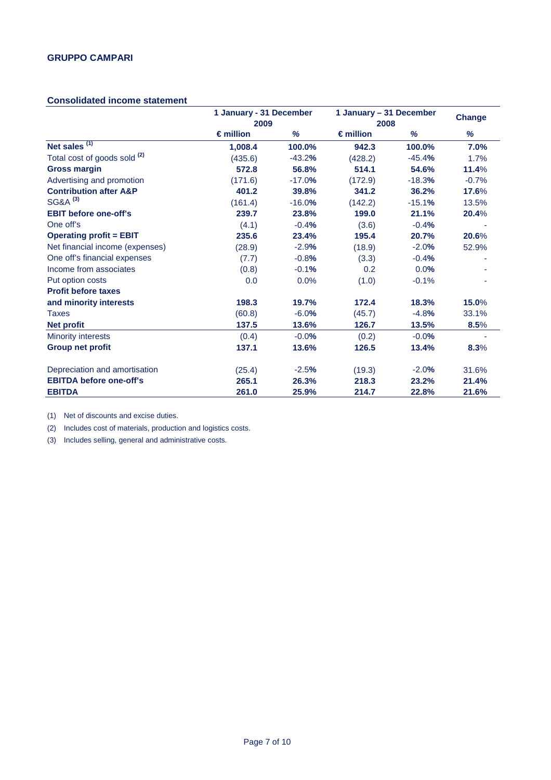### **Consolidated income statement**

|                                         |                    | 1 January - 31 December<br>1 January - 31 December<br>2009<br>2008 |                    | <b>Change</b> |         |
|-----------------------------------------|--------------------|--------------------------------------------------------------------|--------------------|---------------|---------|
|                                         | $\epsilon$ million | %                                                                  | $\epsilon$ million | %             | %       |
| Net sales $(1)$                         | 1,008.4            | 100.0%                                                             | 942.3              | 100.0%        | 7.0%    |
| Total cost of goods sold <sup>(2)</sup> | (435.6)            | $-43.2%$                                                           | (428.2)            | $-45.4%$      | 1.7%    |
| <b>Gross margin</b>                     | 572.8              | 56.8%                                                              | 514.1              | 54.6%         | 11.4%   |
| Advertising and promotion               | (171.6)            | $-17.0%$                                                           | (172.9)            | $-18.3%$      | $-0.7%$ |
| <b>Contribution after A&amp;P</b>       | 401.2              | 39.8%                                                              | 341.2              | 36.2%         | 17.6%   |
| SG&A <sup>(3)</sup>                     | (161.4)            | $-16.0%$                                                           | (142.2)            | $-15.1%$      | 13.5%   |
| <b>EBIT before one-off's</b>            | 239.7              | 23.8%                                                              | 199.0              | 21.1%         | 20.4%   |
| One off's                               | (4.1)              | $-0.4%$                                                            | (3.6)              | $-0.4%$       |         |
| <b>Operating profit = EBIT</b>          | 235.6              | 23.4%                                                              | 195.4              | 20.7%         | 20.6%   |
| Net financial income (expenses)         | (28.9)             | $-2.9%$                                                            | (18.9)             | $-2.0%$       | 52.9%   |
| One off's financial expenses            | (7.7)              | $-0.8%$                                                            | (3.3)              | $-0.4%$       |         |
| Income from associates                  | (0.8)              | $-0.1%$                                                            | 0.2                | 0.0%          |         |
| Put option costs                        | 0.0                | 0.0%                                                               | (1.0)              | $-0.1%$       |         |
| <b>Profit before taxes</b>              |                    |                                                                    |                    |               |         |
| and minority interests                  | 198.3              | 19.7%                                                              | 172.4              | 18.3%         | 15.0%   |
| <b>Taxes</b>                            | (60.8)             | $-6.0%$                                                            | (45.7)             | $-4.8%$       | 33.1%   |
| <b>Net profit</b>                       | 137.5              | 13.6%                                                              | 126.7              | 13.5%         | 8.5%    |
| <b>Minority interests</b>               | (0.4)              | $-0.0%$                                                            | (0.2)              | $-0.0%$       |         |
| <b>Group net profit</b>                 | 137.1              | 13.6%                                                              | 126.5              | 13.4%         | 8.3%    |
| Depreciation and amortisation           | (25.4)             | $-2.5%$                                                            | (19.3)             | $-2.0%$       | 31.6%   |
| <b>EBITDA before one-off's</b>          | 265.1              | 26.3%                                                              | 218.3              | 23.2%         | 21.4%   |
| <b>EBITDA</b>                           | 261.0              | 25.9%                                                              | 214.7              | 22.8%         | 21.6%   |

(1) Net of discounts and excise duties.

(2) Includes cost of materials, production and logistics costs.

(3) Includes selling, general and administrative costs.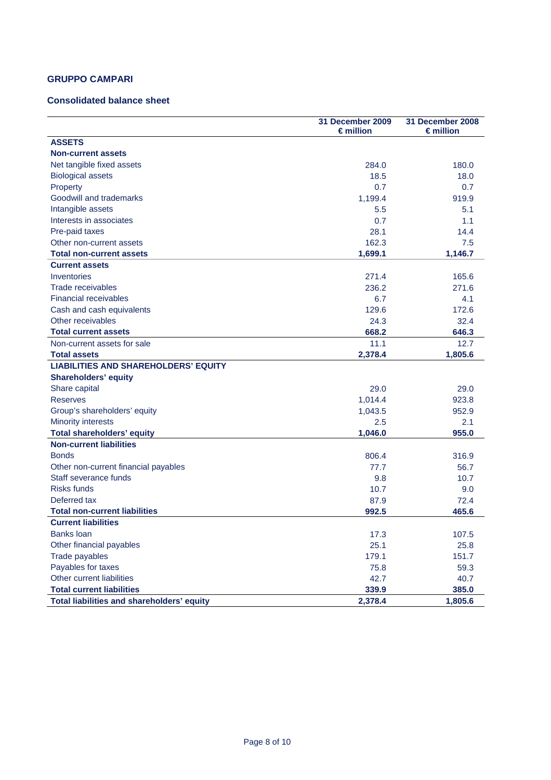## **GRUPPO CAMPARI**

### **Consolidated balance sheet**

|                                             | 31 December 2009<br>$\epsilon$ million | 31 December 2008<br>$\epsilon$ million |
|---------------------------------------------|----------------------------------------|----------------------------------------|
| <b>ASSETS</b>                               |                                        |                                        |
| <b>Non-current assets</b>                   |                                        |                                        |
| Net tangible fixed assets                   | 284.0                                  | 180.0                                  |
| <b>Biological assets</b>                    | 18.5                                   | 18.0                                   |
| Property                                    | 0.7                                    | 0.7                                    |
| Goodwill and trademarks                     | 1,199.4                                | 919.9                                  |
| Intangible assets                           | 5.5                                    | 5.1                                    |
| Interests in associates                     | 0.7                                    | 1.1                                    |
| Pre-paid taxes                              | 28.1                                   | 14.4                                   |
| Other non-current assets                    | 162.3                                  | 7.5                                    |
| <b>Total non-current assets</b>             | 1,699.1                                | 1,146.7                                |
| <b>Current assets</b>                       |                                        |                                        |
| Inventories                                 | 271.4                                  | 165.6                                  |
| Trade receivables                           | 236.2                                  | 271.6                                  |
| <b>Financial receivables</b>                | 6.7                                    | 4.1                                    |
| Cash and cash equivalents                   | 129.6                                  | 172.6                                  |
| Other receivables                           | 24.3                                   | 32.4                                   |
| <b>Total current assets</b>                 | 668.2                                  | 646.3                                  |
| Non-current assets for sale                 | 11.1                                   | 12.7                                   |
| <b>Total assets</b>                         | 2,378.4                                | 1,805.6                                |
| <b>LIABILITIES AND SHAREHOLDERS' EQUITY</b> |                                        |                                        |
| <b>Shareholders' equity</b>                 |                                        |                                        |
| Share capital                               | 29.0                                   | 29.0                                   |
| <b>Reserves</b>                             | 1,014.4                                | 923.8                                  |
| Group's shareholders' equity                | 1,043.5                                | 952.9                                  |
| <b>Minority interests</b>                   | 2.5                                    | 2.1                                    |
| <b>Total shareholders' equity</b>           | 1,046.0                                | 955.0                                  |
| <b>Non-current liabilities</b>              |                                        |                                        |
| <b>Bonds</b>                                | 806.4                                  | 316.9                                  |
| Other non-current financial payables        | 77.7                                   | 56.7                                   |
| Staff severance funds                       | 9.8                                    | 10.7                                   |
| <b>Risks funds</b>                          | 10.7                                   | 9.0                                    |
| Deferred tax                                | 87.9                                   | 72.4                                   |
| <b>Total non-current liabilities</b>        | 992.5                                  | 465.6                                  |
| <b>Current liabilities</b>                  |                                        |                                        |
| <b>Banks loan</b>                           | 17.3                                   | 107.5                                  |
| Other financial payables                    | 25.1                                   | 25.8                                   |
| Trade payables                              | 179.1                                  | 151.7                                  |
| Payables for taxes                          | 75.8                                   | 59.3                                   |
| Other current liabilities                   | 42.7                                   | 40.7                                   |
| <b>Total current liabilities</b>            | 339.9                                  | 385.0                                  |
| Total liabilities and shareholders' equity  | 2,378.4                                | 1,805.6                                |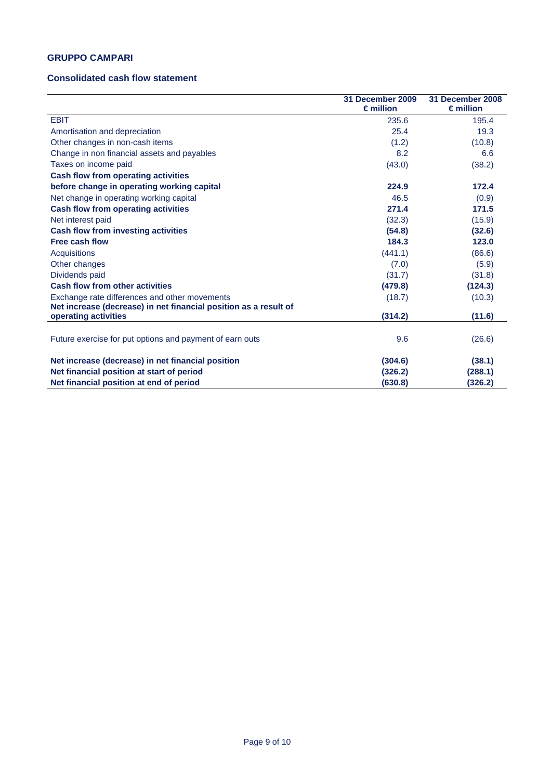### **GRUPPO CAMPARI**

### **Consolidated cash flow statement**

|                                                                                                                   | 31 December 2009<br>$\epsilon$ million | 31 December 2008<br>$\epsilon$ million |
|-------------------------------------------------------------------------------------------------------------------|----------------------------------------|----------------------------------------|
| <b>EBIT</b>                                                                                                       | 235.6                                  | 195.4                                  |
| Amortisation and depreciation                                                                                     | 25.4                                   | 19.3                                   |
| Other changes in non-cash items                                                                                   | (1.2)                                  | (10.8)                                 |
| Change in non financial assets and payables                                                                       | 8.2                                    | 6.6                                    |
| Taxes on income paid                                                                                              | (43.0)                                 | (38.2)                                 |
| <b>Cash flow from operating activities</b>                                                                        |                                        |                                        |
| before change in operating working capital                                                                        | 224.9                                  | 172.4                                  |
| Net change in operating working capital                                                                           | 46.5                                   | (0.9)                                  |
| <b>Cash flow from operating activities</b>                                                                        | 271.4                                  | 171.5                                  |
| Net interest paid                                                                                                 | (32.3)                                 | (15.9)                                 |
| <b>Cash flow from investing activities</b>                                                                        | (54.8)                                 | (32.6)                                 |
| <b>Free cash flow</b>                                                                                             | 184.3                                  | 123.0                                  |
| <b>Acquisitions</b>                                                                                               | (441.1)                                | (86.6)                                 |
| Other changes                                                                                                     | (7.0)                                  | (5.9)                                  |
| Dividends paid                                                                                                    | (31.7)                                 | (31.8)                                 |
| <b>Cash flow from other activities</b>                                                                            | (479.8)                                | (124.3)                                |
| Exchange rate differences and other movements<br>Net increase (decrease) in net financial position as a result of | (18.7)                                 | (10.3)                                 |
| operating activities                                                                                              | (314.2)                                | (11.6)                                 |
| Future exercise for put options and payment of earn outs                                                          | 9.6                                    | (26.6)                                 |
| Net increase (decrease) in net financial position                                                                 | (304.6)                                | (38.1)                                 |
| Net financial position at start of period                                                                         | (326.2)                                | (288.1)                                |
| Net financial position at end of period                                                                           | (630.8)                                | (326.2)                                |